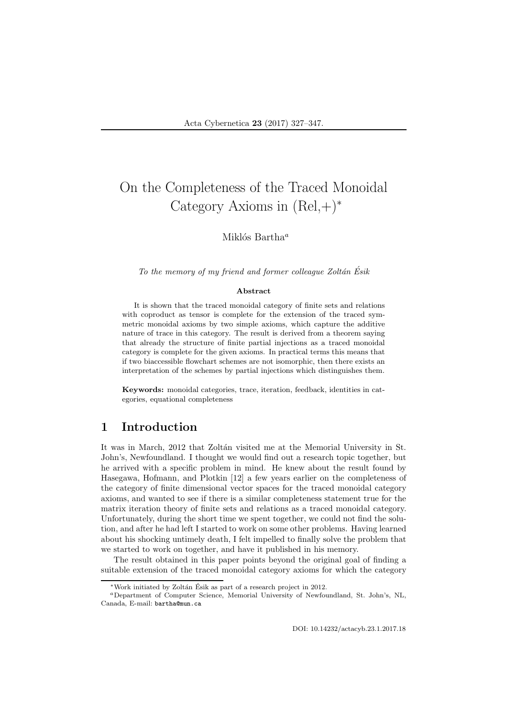# On the Completeness of the Traced Monoidal Category Axioms in  $(Rel, +)^*$

#### Miklós Bartha $^a$

*To the memory of my friend and former colleague Zolt´an Esik ´*

#### Abstract

It is shown that the traced monoidal category of finite sets and relations with coproduct as tensor is complete for the extension of the traced symmetric monoidal axioms by two simple axioms, which capture the additive nature of trace in this category. The result is derived from a theorem saying that already the structure of finite partial injections as a traced monoidal category is complete for the given axioms. In practical terms this means that if two biaccessible flowchart schemes are not isomorphic, then there exists an interpretation of the schemes by partial injections which distinguishes them.

Keywords: monoidal categories, trace, iteration, feedback, identities in categories, equational completeness

# 1 Introduction

It was in March, 2012 that Zoltán visited me at the Memorial University in St. John's, Newfoundland. I thought we would find out a research topic together, but he arrived with a specific problem in mind. He knew about the result found by Hasegawa, Hofmann, and Plotkin [12] a few years earlier on the completeness of the category of finite dimensional vector spaces for the traced monoidal category axioms, and wanted to see if there is a similar completeness statement true for the matrix iteration theory of finite sets and relations as a traced monoidal category. Unfortunately, during the short time we spent together, we could not find the solution, and after he had left I started to work on some other problems. Having learned about his shocking untimely death, I felt impelled to finally solve the problem that we started to work on together, and have it published in his memory.

The result obtained in this paper points beyond the original goal of finding a suitable extension of the traced monoidal category axioms for which the category

<sup>∗</sup>Work initiated by Zolt´an Esik as part of a research project in 2012. ´

<sup>a</sup>Department of Computer Science, Memorial University of Newfoundland, St. John's, NL, Canada, E-mail: bartha@mun.ca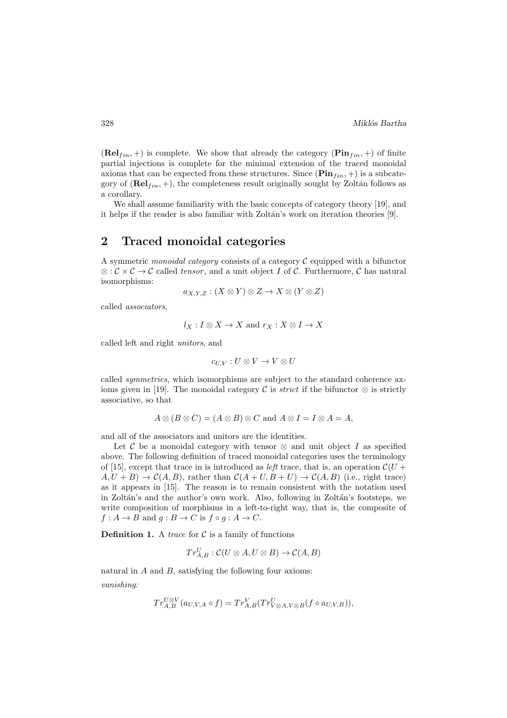$(\text{Rel}_{fin}, +)$  is complete. We show that already the category  $(\text{Pin}_{fin}, +)$  of finite partial injections is complete for the minimal extension of the traced monoidal axioms that can be expected from these structures. Since  $(\mathbf{Pin}_{fin}, +)$  is a subcategory of  $(\text{Rel}_{fin}, +)$ , the completeness result originally sought by Zoltán follows as a corollary.

We shall assume familiarity with the basic concepts of category theory [19], and it helps if the reader is also familiar with Zoltán's work on iteration theories  $[9]$ .

# 2 Traced monoidal categories

A symmetric *monoidal category* consists of a category C equipped with a bifunctor ⊗ :  $\mathcal{C} \times \mathcal{C} \rightarrow \mathcal{C}$  called *tensor*, and a unit object I of  $\mathcal{C}$ . Furthermore,  $\mathcal{C}$  has natural isomorphisms:

$$
a_{X,Y,Z}: (X \otimes Y) \otimes Z \to X \otimes (Y \otimes Z)
$$

called *associators*,

$$
l_X: I \otimes X \to X
$$
 and  $r_X: X \otimes I \to X$ 

called left and right *unitors*, and

$$
c_{U,V}: U \otimes V \to V \otimes U
$$

called *symmetries*, which isomorphisms are subject to the standard coherence axioms given in [19]. The monoidal category C is *strict* if the bifunctor  $\otimes$  is strictly associative, so that

$$
A \otimes (B \otimes C) = (A \otimes B) \otimes C \text{ and } A \otimes I = I \otimes A = A,
$$

and all of the associators and unitors are the identities.

Let C be a monoidal category with tensor  $\otimes$  and unit object I as specified above. The following definition of traced monoidal categories uses the terminology of [15], except that trace in is introduced as *left* trace, that is, an operation  $\mathcal{C}(U +$  $A, U + B) \rightarrow C(A, B)$ , rather than  $C(A + U, B + U) \rightarrow C(A, B)$  (i.e., right trace) as it appears in [15]. The reason is to remain consistent with the notation used in Zoltán's and the author's own work. Also, following in Zoltán's footsteps, we write composition of morphisms in a left-to-right way, that is, the composite of  $f: A \to B$  and  $q: B \to C$  is  $f \circ q: A \to C$ .

**Definition 1.** A *trace* for  $C$  is a family of functions

$$
Tr^U_{A,B}: \mathcal{C}(U\otimes A,U\otimes B)\to \mathcal{C}(A,B)
$$

natural in A and B, satisfying the following four axioms: *vanishing:*

$$
Tr_{A,B}^{U\otimes V}(a_{U,V,A}\circ f)=Tr_{A,B}^{V}(Tr_{V\otimes A,V\otimes B}^{U}(f\circ a_{U,V,B})),
$$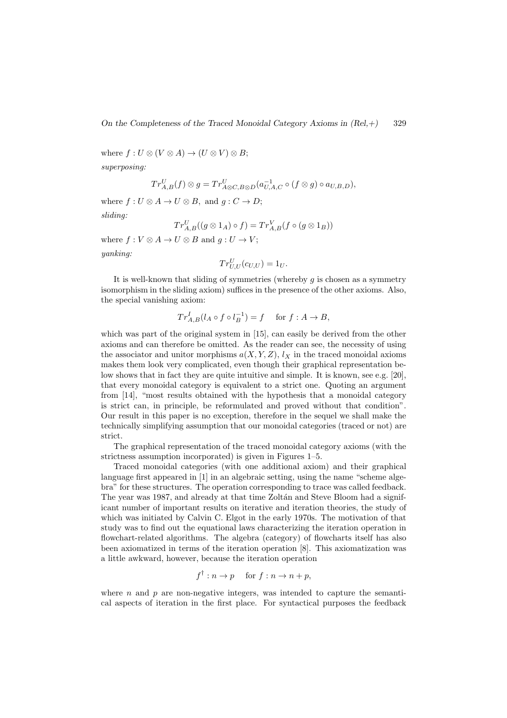where  $f: U \otimes (V \otimes A) \rightarrow (U \otimes V) \otimes B;$ *superposing:*

$$
Tr^U_{A,B}(f) \otimes g = Tr^U_{A \otimes C, B \otimes D}(a^{-1}_{U,A,C} \circ (f \otimes g) \circ a_{U,B,D}),
$$

where  $f: U \otimes A \to U \otimes B$ , and  $g: C \to D$ ;

*sliding:*

$$
Tr_{A,B}^U((g\otimes 1_A)\circ f)=Tr_{A,B}^V(f\circ (g\otimes 1_B))
$$

where  $f: V \otimes A \rightarrow U \otimes B$  and  $g: U \rightarrow V$ :

*yanking:*

$$
Tr_{U,U}^U(c_{U,U})=1_U.
$$

It is well-known that sliding of symmetries (whereby  $q$  is chosen as a symmetry isomorphism in the sliding axiom) suffices in the presence of the other axioms. Also, the special vanishing axiom:

$$
Tr_{A,B}^{I}(l_{A}\circ f\circ l_{B}^{-1})=f \text{ for } f:A\to B,
$$

which was part of the original system in [15], can easily be derived from the other axioms and can therefore be omitted. As the reader can see, the necessity of using the associator and unitor morphisms  $a(X, Y, Z)$ ,  $l_X$  in the traced monoidal axioms makes them look very complicated, even though their graphical representation below shows that in fact they are quite intuitive and simple. It is known, see e.g. [20], that every monoidal category is equivalent to a strict one. Quoting an argument from [14], "most results obtained with the hypothesis that a monoidal category is strict can, in principle, be reformulated and proved without that condition". Our result in this paper is no exception, therefore in the sequel we shall make the technically simplifying assumption that our monoidal categories (traced or not) are strict.

The graphical representation of the traced monoidal category axioms (with the strictness assumption incorporated) is given in Figures 1–5.

Traced monoidal categories (with one additional axiom) and their graphical language first appeared in [1] in an algebraic setting, using the name "scheme algebra" for these structures. The operation corresponding to trace was called feedback. The year was 1987, and already at that time Zoltán and Steve Bloom had a significant number of important results on iterative and iteration theories, the study of which was initiated by Calvin C. Elgot in the early 1970s. The motivation of that study was to find out the equational laws characterizing the iteration operation in flowchart-related algorithms. The algebra (category) of flowcharts itself has also been axiomatized in terms of the iteration operation [8]. This axiomatization was a little awkward, however, because the iteration operation

$$
f^{\dagger}: n \to p \quad \text{ for } f: n \to n+p,
$$

where  $n$  and  $p$  are non-negative integers, was intended to capture the semantical aspects of iteration in the first place. For syntactical purposes the feedback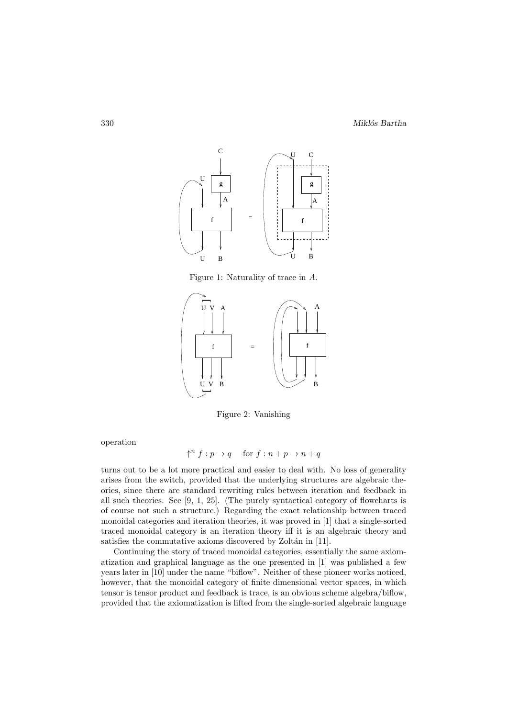

Figure 1: Naturality of trace in A.



Figure 2: Vanishing

operation

$$
\uparrow^n f : p \to q \quad \text{ for } f : n + p \to n + q
$$

turns out to be a lot more practical and easier to deal with. No loss of generality arises from the switch, provided that the underlying structures are algebraic theories, since there are standard rewriting rules between iteration and feedback in all such theories. See [9, 1, 25]. (The purely syntactical category of flowcharts is of course not such a structure.) Regarding the exact relationship between traced monoidal categories and iteration theories, it was proved in [1] that a single-sorted traced monoidal category is an iteration theory iff it is an algebraic theory and satisfies the commutative axioms discovered by Zoltán in [11].

Continuing the story of traced monoidal categories, essentially the same axiomatization and graphical language as the one presented in [1] was published a few years later in [10] under the name "biflow". Neither of these pioneer works noticed, however, that the monoidal category of finite dimensional vector spaces, in which tensor is tensor product and feedback is trace, is an obvious scheme algebra/biflow, provided that the axiomatization is lifted from the single-sorted algebraic language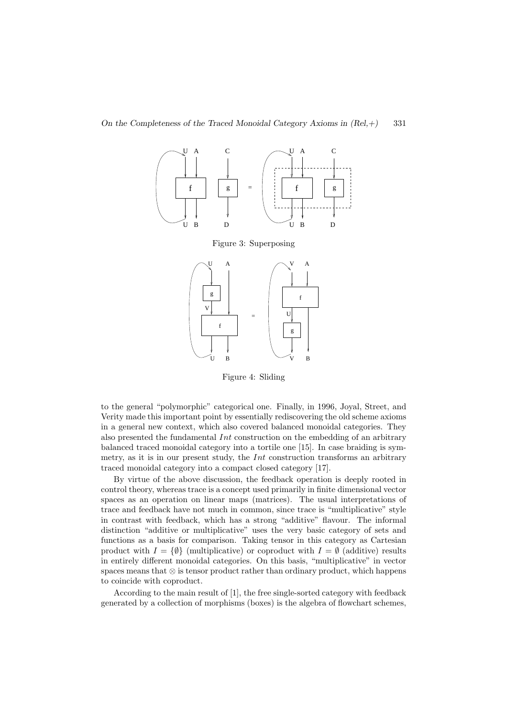

Figure 4: Sliding

to the general "polymorphic" categorical one. Finally, in 1996, Joyal, Street, and Verity made this important point by essentially rediscovering the old scheme axioms in a general new context, which also covered balanced monoidal categories. They also presented the fundamental  $Int$  construction on the embedding of an arbitrary balanced traced monoidal category into a tortile one [15]. In case braiding is symmetry, as it is in our present study, the  $Int$  construction transforms an arbitrary traced monoidal category into a compact closed category [17].

By virtue of the above discussion, the feedback operation is deeply rooted in control theory, whereas trace is a concept used primarily in finite dimensional vector spaces as an operation on linear maps (matrices). The usual interpretations of trace and feedback have not much in common, since trace is "multiplicative" style in contrast with feedback, which has a strong "additive" flavour. The informal distinction "additive or multiplicative" uses the very basic category of sets and functions as a basis for comparison. Taking tensor in this category as Cartesian product with  $I = \{\emptyset\}$  (multiplicative) or coproduct with  $I = \emptyset$  (additive) results in entirely different monoidal categories. On this basis, "multiplicative" in vector spaces means that  $\otimes$  is tensor product rather than ordinary product, which happens to coincide with coproduct.

According to the main result of [1], the free single-sorted category with feedback generated by a collection of morphisms (boxes) is the algebra of flowchart schemes,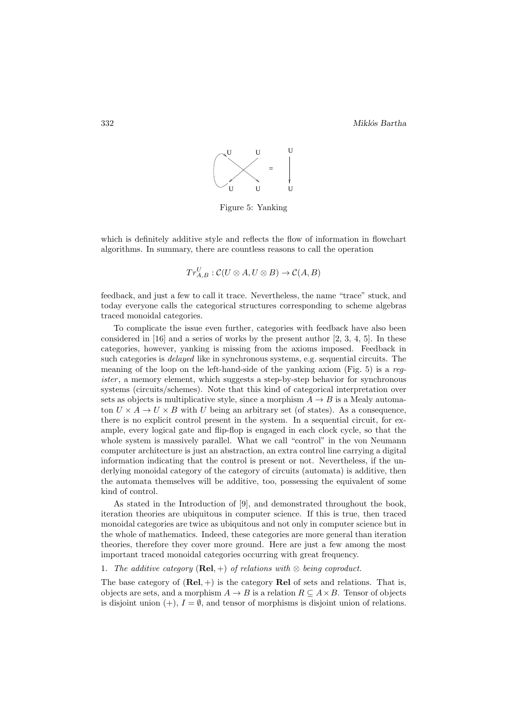

Figure 5: Yanking

which is definitely additive style and reflects the flow of information in flowchart algorithms. In summary, there are countless reasons to call the operation

$$
Tr^U_{A,B}: \mathcal{C}(U\otimes A, U\otimes B)\to \mathcal{C}(A,B)
$$

feedback, and just a few to call it trace. Nevertheless, the name "trace" stuck, and today everyone calls the categorical structures corresponding to scheme algebras traced monoidal categories.

To complicate the issue even further, categories with feedback have also been considered in  $[16]$  and a series of works by the present author  $[2, 3, 4, 5]$ . In these categories, however, yanking is missing from the axioms imposed. Feedback in such categories is *delayed* like in synchronous systems, e.g. sequential circuits. The meaning of the loop on the left-hand-side of the yanking axiom (Fig. 5) is a *register*, a memory element, which suggests a step-by-step behavior for synchronous systems (circuits/schemes). Note that this kind of categorical interpretation over sets as objects is multiplicative style, since a morphism  $A \rightarrow B$  is a Mealy automaton  $U \times A \rightarrow U \times B$  with U being an arbitrary set (of states). As a consequence, there is no explicit control present in the system. In a sequential circuit, for example, every logical gate and flip-flop is engaged in each clock cycle, so that the whole system is massively parallel. What we call "control" in the von Neumann computer architecture is just an abstraction, an extra control line carrying a digital information indicating that the control is present or not. Nevertheless, if the underlying monoidal category of the category of circuits (automata) is additive, then the automata themselves will be additive, too, possessing the equivalent of some kind of control.

As stated in the Introduction of [9], and demonstrated throughout the book, iteration theories are ubiquitous in computer science. If this is true, then traced monoidal categories are twice as ubiquitous and not only in computer science but in the whole of mathematics. Indeed, these categories are more general than iteration theories, therefore they cover more ground. Here are just a few among the most important traced monoidal categories occurring with great frequency.

#### 1. *The additive category* (**Rel**, +) *of relations with*  $\otimes$  *being coproduct.*

The base category of  $(Rel, +)$  is the category Rel of sets and relations. That is, objects are sets, and a morphism  $A \to B$  is a relation  $R \subset A \times B$ . Tensor of objects is disjoint union  $(+)$ ,  $I = \emptyset$ , and tensor of morphisms is disjoint union of relations.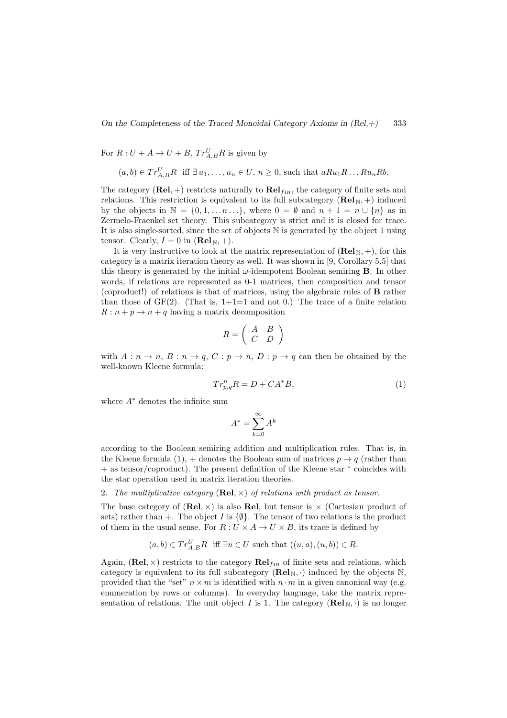On the Completeness of the Traced Monoidal Category Axioms in  $(Rel,+)$  333

For  $R: U + A \rightarrow U + B$ ,  $Tr_{A,B}^{U} R$  is given by

$$
(a, b) \in Tr_{A,B}^U R
$$
 iff  $\exists u_1, \ldots, u_n \in U$ ,  $n \ge 0$ , such that  $aRu_1R \ldots Ru_nRb$ .

The category  $(\text{Rel}, +)$  restricts naturally to  $\text{Rel}_{fin}$ , the category of finite sets and relations. This restriction is equivalent to its full subcategory  $(\text{Rel}_N, +)$  induced by the objects in  $\mathbb{N} = \{0, 1, \ldots, n \ldots\}$ , where  $0 = \emptyset$  and  $n + 1 = n \cup \{n\}$  as in Zermelo-Fraenkel set theory. This subcategory is strict and it is closed for trace. It is also single-sorted, since the set of objects N is generated by the object 1 using tensor. Clearly,  $I = 0$  in  $(\text{Rel}_N, +)$ .

It is very instructive to look at the matrix representation of  $(\text{Rel}_N, +)$ , for this category is a matrix iteration theory as well. It was shown in [9, Corollary 5.5] that this theory is generated by the initial  $\omega$ -idempotent Boolean semiring **B**. In other words, if relations are represented as 0-1 matrices, then composition and tensor (coproduct!) of relations is that of matrices, using the algebraic rules of B rather than those of  $GF(2)$ . (That is,  $1+1=1$  and not 0.) The trace of a finite relation  $R: n+p \to n+q$  having a matrix decomposition

$$
R = \left(\begin{array}{cc} A & B \\ C & D \end{array}\right)
$$

with  $A: n \to n$ ,  $B: n \to q$ ,  $C: p \to n$ ,  $D: p \to q$  can then be obtained by the well-known Kleene formula:

$$
Tr_{p,q}^{n}R = D + CA^*B,\tag{1}
$$

where A<sup>∗</sup> denotes the infinite sum

$$
A^* = \sum_{k=0}^\infty A^k
$$

according to the Boolean semiring addition and multiplication rules. That is, in the Kleene formula (1), + denotes the Boolean sum of matrices  $p \rightarrow q$  (rather than + as tensor/coproduct). The present definition of the Kleene star ∗ coincides with the star operation used in matrix iteration theories.

2. *The multiplicative category* (Rel, ×) *of relations with product as tensor.*

The base category of  $(Rel, \times)$  is also Rel, but tensor is  $\times$  (Cartesian product of sets) rather than +. The object I is  $\{\emptyset\}$ . The tensor of two relations is the product of them in the usual sense. For  $R: U \times A \rightarrow U \times B$ , its trace is defined by

$$
(a, b) \in Tr_{A,B}^U R
$$
 iff  $\exists u \in U$  such that  $((u, a), (u, b)) \in R$ .

Again, (Rel,  $\times$ ) restricts to the category  $\text{Rel}_{fin}$  of finite sets and relations, which category is equivalent to its full subcategory  $(\text{Rel}_N, \cdot)$  induced by the objects N, provided that the "set"  $n \times m$  is identified with  $n \cdot m$  in a given canonical way (e.g. enumeration by rows or columns). In everyday language, take the matrix representation of relations. The unit object I is 1. The category  $(\mathbf{Rel}_N, \cdot)$  is no longer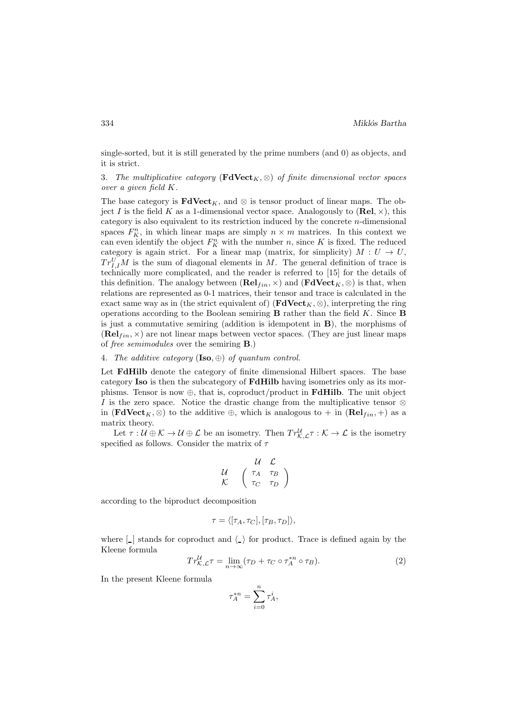single-sorted, but it is still generated by the prime numbers (and 0) as objects, and it is strict.

3. *The multiplicative category* ( $\textbf{FdVect}_K$ ,  $\otimes$ ) *of finite dimensional vector spaces over a given field* K*.*

The base category is  $\mathbf{FdVect}_{K}$ , and ⊗ is tensor product of linear maps. The object I is the field K as a 1-dimensional vector space. Analogously to  $(\text{Rel}, \times)$ , this category is also equivalent to its restriction induced by the concrete n-dimensional spaces  $F_K^n$ , in which linear maps are simply  $n \times m$  matrices. In this context we can even identify the object  $F_K^n$  with the number n, since K is fixed. The reduced category is again strict. For a linear map (matrix, for simplicity)  $M: U \to U$ ,  $Tr_{I,I}^U M$  is the sum of diagonal elements in M. The general definition of trace is technically more complicated, and the reader is referred to [15] for the details of this definition. The analogy between  $(\mathbf{Rel}_{fin}, \times)$  and  $(\mathbf{FdVect}_K, \otimes)$  is that, when relations are represented as 0-1 matrices, their tensor and trace is calculated in the exact same way as in (the strict equivalent of) ( $\mathbf{FdVect}_{K}$ , ⊗), interpreting the ring operations according to the Boolean semiring  $\bf{B}$  rather than the field K. Since  $\bf{B}$ is just a commutative semiring (addition is idempotent in B), the morphisms of  $(\mathbf{Rel}_{fin}, \times)$  are not linear maps between vector spaces. (They are just linear maps of *free semimodules* over the semiring B.)

#### 4. *The additive category* (Iso, ⊕) *of quantum control.*

Let FdHilb denote the category of finite dimensional Hilbert spaces. The base category Iso is then the subcategory of FdHilb having isometries only as its morphisms. Tensor is now  $\oplus$ , that is, coproduct/product in **FdHilb**. The unit object I is the zero space. Notice the drastic change from the multiplicative tensor  $\otimes$ in ( $\textbf{FdVect}_K$ ,  $\otimes$ ) to the additive  $\oplus$ , which is analogous to + in ( $\textbf{Rel}_{fin}, +$ ) as a matrix theory.

Let  $\tau: \mathcal{U} \oplus \mathcal{K} \to \mathcal{U} \oplus \mathcal{L}$  be an isometry. Then  $Tr_{\mathcal{K},\mathcal{L}}^{\mathcal{U}} \mathcal{L} : \mathcal{K} \to \mathcal{L}$  is the isometry specified as follows. Consider the matrix of  $\tau$ 

$$
\begin{array}{cc} & \mathcal{U} & \mathcal{L} \\ \mathcal{U} & \left( \begin{array}{cc} \tau_A & \tau_B \\ \tau_C & \tau_D \end{array} \right) \end{array}
$$

according to the biproduct decomposition

$$
\tau = \langle [\tau_A, \tau_C], [\tau_B, \tau_D] \rangle,
$$

where  $\lfloor \cdot \rfloor$  stands for coproduct and  $\langle \cdot \rangle$  for product. Trace is defined again by the Kleene formula

$$
Tr_{\mathcal{K},\mathcal{L}}^{\mathcal{U}}\tau = \lim_{n \to \infty} (\tau_D + \tau_C \circ \tau_A^{*n} \circ \tau_B). \tag{2}
$$

In the present Kleene formula

$$
\tau_A^{*n} = \sum_{i=0}^n \tau_A^i,
$$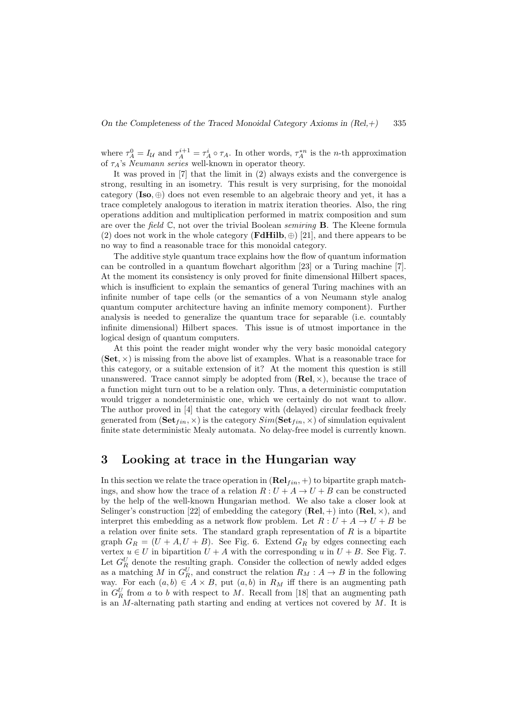where  $\tau_A^0 = I_{\mathcal{U}}$  and  $\tau_A^{i+1} = \tau_A^i \circ \tau_A$ . In other words,  $\tau_A^{*n}$  is the *n*-th approximation of τA's *Neumann series* well-known in operator theory.

It was proved in [7] that the limit in (2) always exists and the convergence is strong, resulting in an isometry. This result is very surprising, for the monoidal category  $(Iso, \oplus)$  does not even resemble to an algebraic theory and yet, it has a trace completely analogous to iteration in matrix iteration theories. Also, the ring operations addition and multiplication performed in matrix composition and sum are over the *field* C, not over the trivial Boolean *semiring* B. The Kleene formula (2) does not work in the whole category (**FdHilb**,  $\oplus$  [21], and there appears to be no way to find a reasonable trace for this monoidal category.

The additive style quantum trace explains how the flow of quantum information can be controlled in a quantum flowchart algorithm [23] or a Turing machine [7]. At the moment its consistency is only proved for finite dimensional Hilbert spaces, which is insufficient to explain the semantics of general Turing machines with an infinite number of tape cells (or the semantics of a von Neumann style analog quantum computer architecture having an infinite memory component). Further analysis is needed to generalize the quantum trace for separable (i.e. countably infinite dimensional) Hilbert spaces. This issue is of utmost importance in the logical design of quantum computers.

At this point the reader might wonder why the very basic monoidal category  $(\mathbf{Set}, \times)$  is missing from the above list of examples. What is a reasonable trace for this category, or a suitable extension of it? At the moment this question is still unanswered. Trace cannot simply be adopted from  $(Rel, \times)$ , because the trace of a function might turn out to be a relation only. Thus, a deterministic computation would trigger a nondeterministic one, which we certainly do not want to allow. The author proved in [4] that the category with (delayed) circular feedback freely generated from  $(\mathbf{Set}_{fin}, \times)$  is the category  $Sim(\mathbf{Set}_{fin}, \times)$  of simulation equivalent finite state deterministic Mealy automata. No delay-free model is currently known.

### 3 Looking at trace in the Hungarian way

In this section we relate the trace operation in  $(\text{Rel}_{fin}, +)$  to bipartite graph matchings, and show how the trace of a relation  $R: U + A \rightarrow U + B$  can be constructed by the help of the well-known Hungarian method. We also take a closer look at Selinger's construction [22] of embedding the category  $(\text{Rel}, +)$  into  $(\text{Rel}, \times)$ , and interpret this embedding as a network flow problem. Let  $R: U + A \rightarrow U + B$  be a relation over finite sets. The standard graph representation of  $R$  is a bipartite graph  $G_R = (U + A, U + B)$ . See Fig. 6. Extend  $G_R$  by edges connecting each vertex  $u \in U$  in bipartition  $U + A$  with the corresponding u in  $U + B$ . See Fig. 7. Let  $G_R^U$  denote the resulting graph. Consider the collection of newly added edges as a matching M in  $G_R^U$ , and construct the relation  $R_M : A \to B$  in the following way. For each  $(a, b) \in A \times B$ , put  $(a, b)$  in  $R_M$  iff there is an augmenting path in  $G_R^U$  from a to b with respect to M. Recall from [18] that an augmenting path is an M-alternating path starting and ending at vertices not covered by  $M$ . It is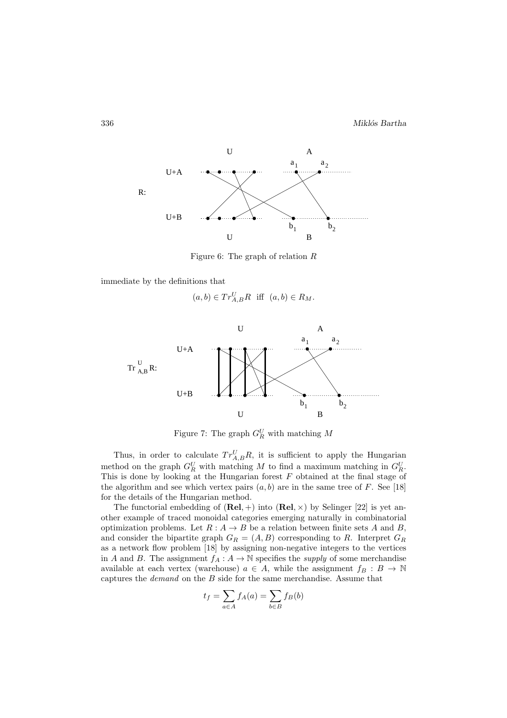

Figure 6: The graph of relation  $R$ 

immediate by the definitions that

$$
(a,b) \in Tr_{A,B}^U R
$$
 iff  $(a,b) \in R_M$ .



Figure 7: The graph  $G_R^U$  with matching M

Thus, in order to calculate  $Tr_{A,B}^U R$ , it is sufficient to apply the Hungarian method on the graph  $G_R^U$  with matching M to find a maximum matching in  $G_R^U$ . This is done by looking at the Hungarian forest  $F$  obtained at the final stage of the algorithm and see which vertex pairs  $(a, b)$  are in the same tree of F. See [18] for the details of the Hungarian method.

The functorial embedding of  $(Rel, +)$  into  $(Rel, \times)$  by Selinger [22] is yet another example of traced monoidal categories emerging naturally in combinatorial optimization problems. Let  $R : A \rightarrow B$  be a relation between finite sets A and B, and consider the bipartite graph  $G_R = (A, B)$  corresponding to R. Interpret  $G_R$ as a network flow problem [18] by assigning non-negative integers to the vertices in A and B. The assignment  $f_A: A \to \mathbb{N}$  specifies the *supply* of some merchandise available at each vertex (warehouse)  $a \in A$ , while the assignment  $f_B : B \to \mathbb{N}$ captures the *demand* on the B side for the same merchandise. Assume that

$$
t_f = \sum_{a \in A} f_A(a) = \sum_{b \in B} f_B(b)
$$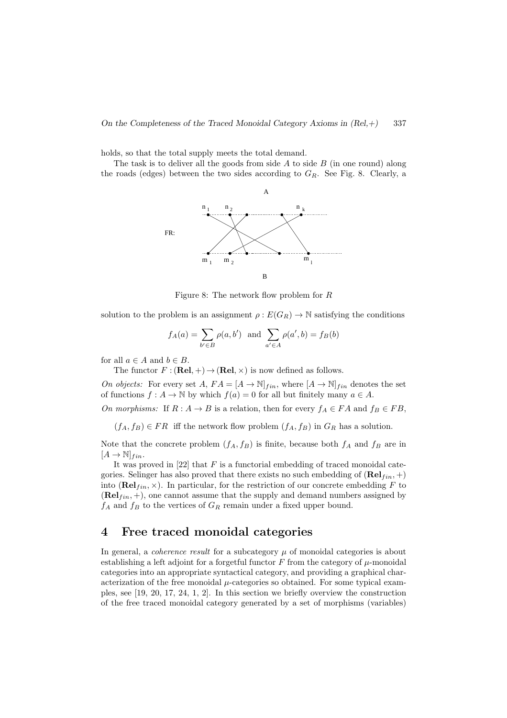holds, so that the total supply meets the total demand.

The task is to deliver all the goods from side  $A$  to side  $B$  (in one round) along the roads (edges) between the two sides according to  $G_R$ . See Fig. 8. Clearly, a



Figure 8: The network flow problem for R

solution to the problem is an assignment  $\rho: E(G_R) \to \mathbb{N}$  satisfying the conditions

$$
f_A(a) = \sum_{b' \in B} \rho(a, b')
$$
 and  $\sum_{a' \in A} \rho(a', b) = f_B(b)$ 

for all  $a \in A$  and  $b \in B$ .

The functor  $F : (\text{Rel}, +) \to (\text{Rel}, \times)$  is now defined as follows.

*On objects:* For every set  $A$ ,  $FA = [A \rightarrow \mathbb{N}]_{fin}$ , where  $[A \rightarrow \mathbb{N}]_{fin}$  denotes the set of functions  $f : A \to \mathbb{N}$  by which  $f(a) = 0$  for all but finitely many  $a \in A$ .

*On morphisms:* If  $R : A \to B$  is a relation, then for every  $f_A \in FA$  and  $f_B \in FB$ ,

 $(f_A, f_B) \in FR$  iff the network flow problem  $(f_A, f_B)$  in  $G_R$  has a solution.

Note that the concrete problem  $(f_A, f_B)$  is finite, because both  $f_A$  and  $f_B$  are in  $[A \rightarrow \mathbb{N}]_{fin}.$ 

It was proved in  $[22]$  that F is a functorial embedding of traced monoidal categories. Selinger has also proved that there exists no such embedding of  $(\text{Rel}_{fin}, +)$ into ( $\textbf{Rel}_{fin}$ ,  $\times$ ). In particular, for the restriction of our concrete embedding F to  $(\mathbf{Rel}_{fin}, +)$ , one cannot assume that the supply and demand numbers assigned by  $f_A$  and  $f_B$  to the vertices of  $G_R$  remain under a fixed upper bound.

# 4 Free traced monoidal categories

In general, a *coherence result* for a subcategory  $\mu$  of monoidal categories is about establishing a left adjoint for a forgetful functor F from the category of  $\mu$ -monoidal categories into an appropriate syntactical category, and providing a graphical characterization of the free monoidal  $\mu$ -categories so obtained. For some typical examples, see [19, 20, 17, 24, 1, 2]. In this section we briefly overview the construction of the free traced monoidal category generated by a set of morphisms (variables)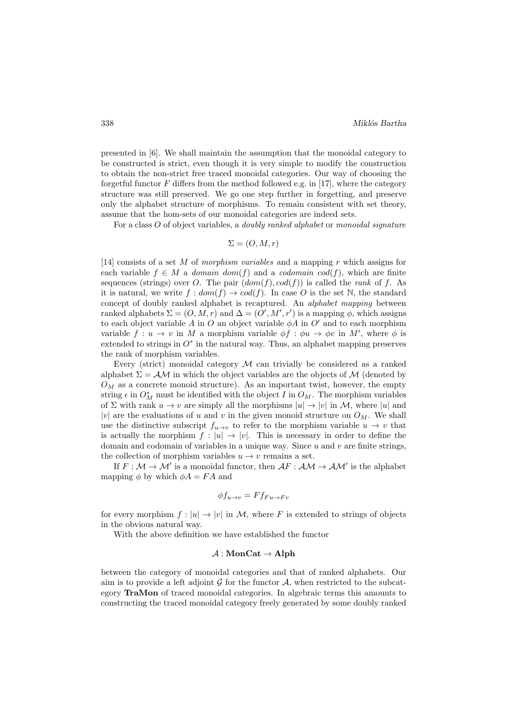presented in [6]. We shall maintain the assumption that the monoidal category to be constructed is strict, even though it is very simple to modify the construction to obtain the non-strict free traced monoidal categories. Our way of choosing the forgetful functor F differs from the method followed e.g. in [17], where the category structure was still preserved. We go one step further in forgetting, and preserve only the alphabet structure of morphisms. To remain consistent with set theory, assume that the hom-sets of our monoidal categories are indeed sets.

For a class O of object variables, a *doubly ranked alphabet* or *monoidal signature*

$$
\Sigma = (O, M, r)
$$

[14] consists of a set M of *morphism variables* and a mapping r which assigns for each variable  $f \in M$  a *domain* dom(f) and a *codomain* cod(f), which are finite sequences (strings) over O. The pair  $(dom(f), cod(f))$  is called the *rank* of f. As it is natural, we write  $f : dom(f) \to cod(f)$ . In case O is the set N, the standard concept of doubly ranked alphabet is recaptured. An *alphabet mapping* between ranked alphabets  $\Sigma = (O, M, r)$  and  $\Delta = (O', M', r')$  is a mapping  $\phi$ , which assigns to each object variable A in O an object variable  $\phi A$  in O' and to each morphism variable  $f: u \to v$  in M a morphism variable  $\phi f: \phi u \to \phi v$  in M', where  $\phi$  is extended to strings in  $O^*$  in the natural way. Thus, an alphabet mapping preserves the rank of morphism variables.

Every (strict) monoidal category  $M$  can trivially be considered as a ranked alphabet  $\Sigma = \mathcal{AM}$  in which the object variables are the objects of M (denoted by  $O_M$  as a concrete monoid structure). As an important twist, however, the empty string  $\epsilon$  in  $O_M^*$  must be identified with the object I in  $O_M$ . The morphism variables of  $\Sigma$  with rank  $u \to v$  are simply all the morphisms  $|u| \to |v|$  in M, where |u| and |v| are the evaluations of u and v in the given monoid structure on  $O_M$ . We shall use the distinctive subscript  $f_{u\to v}$  to refer to the morphism variable  $u \to v$  that is actually the morphism  $f : |u| \to |v|$ . This is necessary in order to define the domain and codomain of variables in a unique way. Since  $u$  and  $v$  are finite strings, the collection of morphism variables  $u \to v$  remains a set.

If  $F: \mathcal{M} \to \mathcal{M}'$  is a monoidal functor, then  $\mathcal{A}F: \mathcal{A} \mathcal{M} \to \mathcal{A} \mathcal{M}'$  is the alphabet mapping  $\phi$  by which  $\phi A = F A$  and

$$
\phi f_{u \to v} = F f_{Fu \to Fv}
$$

for every morphism  $f : |u| \to |v|$  in M, where F is extended to strings of objects in the obvious natural way.

With the above definition we have established the functor

#### $\mathcal{A}: \mathbf{MonCat} \to \mathbf{Alpha}$

between the category of monoidal categories and that of ranked alphabets. Our aim is to provide a left adjoint  $\mathcal G$  for the functor  $\mathcal A$ , when restricted to the subcategory TraMon of traced monoidal categories. In algebraic terms this amounts to constructing the traced monoidal category freely generated by some doubly ranked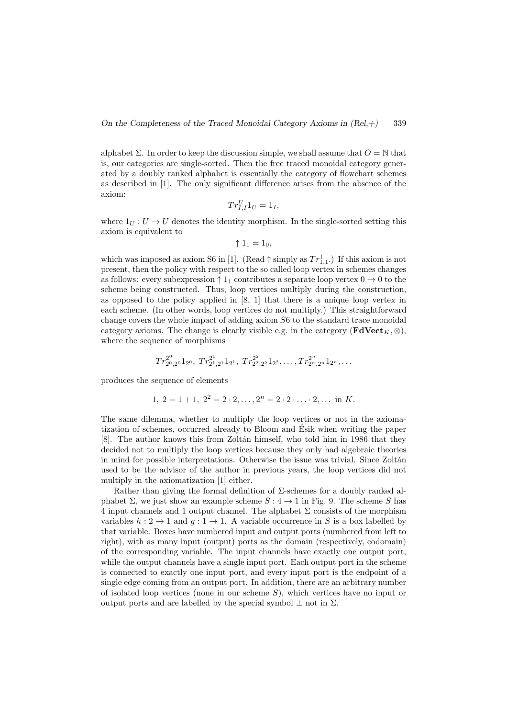On the Completeness of the Traced Monoidal Category Axioms in  $(Rel,+)$  339

alphabet  $\Sigma$ . In order to keep the discussion simple, we shall assume that  $O = N$  that is, our categories are single-sorted. Then the free traced monoidal category generated by a doubly ranked alphabet is essentially the category of flowchart schemes as described in [1]. The only significant difference arises from the absence of the axiom:

$$
Tr_{I,I}^U 1_U = 1_I,
$$

where  $1_U : U \to U$  denotes the identity morphism. In the single-sorted setting this axiom is equivalent to

$$
\uparrow 1_1 = 1_0,
$$

which was imposed as axiom S6 in [1]. (Read  $\uparrow$  simply as  $Tr_{1,1}^1$ .) If this axiom is not present, then the policy with respect to the so called loop vertex in schemes changes as follows: every subexpression  $\uparrow 1_1$  contributes a separate loop vertex  $0 \to 0$  to the scheme being constructed. Thus, loop vertices multiply during the construction, as opposed to the policy applied in [8, 1] that there is a unique loop vertex in each scheme. (In other words, loop vertices do not multiply.) This straightforward change covers the whole impact of adding axiom S6 to the standard trace monoidal category axioms. The change is clearly visible e.g. in the category ( $\mathbf{FdVect}_{K}$ , ⊗), where the sequence of morphisms

$$
Tr_{2^0,2^0}^{2^0}1_{2^0}, Tr_{2^1,2^1}^{2^1}1_{2^1}, Tr_{2^2,2^2}^{2^2}1_{2^2},\ldots, Tr_{2^n,2^n}^{2^n}1_{2^n},\ldots
$$

produces the sequence of elements

$$
1, 2 = 1 + 1, 22 = 2 \cdot 2, ..., 2n = 2 \cdot 2 \cdot ... \cdot 2, ... \text{ in } K.
$$

The same dilemma, whether to multiply the loop vertices or not in the axiomatization of schemes, occurred already to Bloom and Esik when writing the paper ´ [8]. The author knows this from Zolt´an himself, who told him in 1986 that they decided not to multiply the loop vertices because they only had algebraic theories in mind for possible interpretations. Otherwise the issue was trivial. Since Zoltán used to be the advisor of the author in previous years, the loop vertices did not multiply in the axiomatization [1] either.

Rather than giving the formal definition of  $\Sigma$ -schemes for a doubly ranked alphabet  $\Sigma$ , we just show an example scheme  $S: 4 \rightarrow 1$  in Fig. 9. The scheme S has 4 input channels and 1 output channel. The alphabet  $\Sigma$  consists of the morphism variables  $h: 2 \to 1$  and  $q: 1 \to 1$ . A variable occurrence in S is a box labelled by that variable. Boxes have numbered input and output ports (numbered from left to right), with as many input (output) ports as the domain (respectively, codomain) of the corresponding variable. The input channels have exactly one output port, while the output channels have a single input port. Each output port in the scheme is connected to exactly one input port, and every input port is the endpoint of a single edge coming from an output port. In addition, there are an arbitrary number of isolated loop vertices (none in our scheme  $S$ ), which vertices have no input or output ports and are labelled by the special symbol  $\perp$  not in  $\Sigma$ .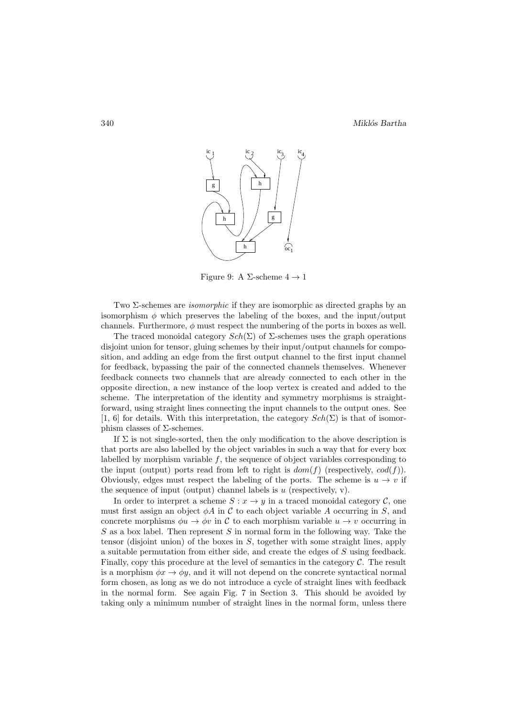

Figure 9: A  $\Sigma$ -scheme  $4 \rightarrow 1$ 

Two Σ-schemes are *isomorphic* if they are isomorphic as directed graphs by an isomorphism  $\phi$  which preserves the labeling of the boxes, and the input/output channels. Furthermore,  $\phi$  must respect the numbering of the ports in boxes as well.

The traced monoidal category  $Sch(\Sigma)$  of  $\Sigma$ -schemes uses the graph operations disjoint union for tensor, gluing schemes by their input/output channels for composition, and adding an edge from the first output channel to the first input channel for feedback, bypassing the pair of the connected channels themselves. Whenever feedback connects two channels that are already connected to each other in the opposite direction, a new instance of the loop vertex is created and added to the scheme. The interpretation of the identity and symmetry morphisms is straightforward, using straight lines connecting the input channels to the output ones. See [1, 6] for details. With this interpretation, the category  $Sch(\Sigma)$  is that of isomorphism classes of  $Σ$ -schemes.

If  $\Sigma$  is not single-sorted, then the only modification to the above description is that ports are also labelled by the object variables in such a way that for every box labelled by morphism variable  $f$ , the sequence of object variables corresponding to the input (output) ports read from left to right is  $dom(f)$  (respectively,  $cod(f)$ ). Obviously, edges must respect the labeling of the ports. The scheme is  $u \to v$  if the sequence of input (output) channel labels is  $u$  (respectively, v).

In order to interpret a scheme  $S: x \to y$  in a traced monoidal category  $\mathcal{C}$ , one must first assign an object  $\phi A$  in C to each object variable A occurring in S, and concrete morphisms  $\phi u \to \phi v$  in C to each morphism variable  $u \to v$  occurring in  $S$  as a box label. Then represent  $S$  in normal form in the following way. Take the tensor (disjoint union) of the boxes in S, together with some straight lines, apply a suitable permutation from either side, and create the edges of S using feedback. Finally, copy this procedure at the level of semantics in the category  $\mathcal C$ . The result is a morphism  $\phi x \to \phi y$ , and it will not depend on the concrete syntactical normal form chosen, as long as we do not introduce a cycle of straight lines with feedback in the normal form. See again Fig. 7 in Section 3. This should be avoided by taking only a minimum number of straight lines in the normal form, unless there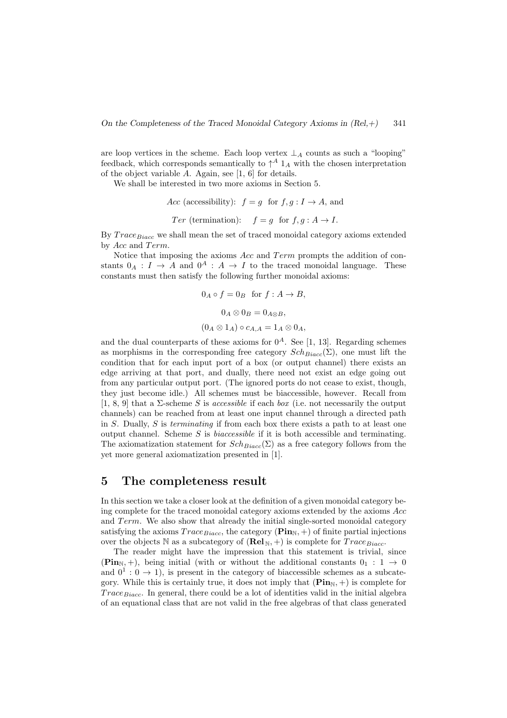On the Completeness of the Traced Monoidal Category Axioms in  $(Rel,+)$  341

are loop vertices in the scheme. Each loop vertex  $\perp_A$  counts as such a "looping" feedback, which corresponds semantically to  $\uparrow^A 1_A$  with the chosen interpretation of the object variable A. Again, see [1, 6] for details.

We shall be interested in two more axioms in Section 5.

Acc (accessibility):  $f = g$  for  $f, g: I \to A$ , and

*Ter* (termination): 
$$
f = g
$$
 for  $f, g : A \rightarrow I$ .

By  $Trace_{Biacc}$  we shall mean the set of traced monoidal category axioms extended by  $Acc$  and  $Term$ .

Notice that imposing the axioms  $Acc$  and  $Term$  prompts the addition of constants  $0_A : I \to A$  and  $0^A : A \to I$  to the traced monoidal language. These constants must then satisfy the following further monoidal axioms:

$$
0_A \circ f = 0_B \text{ for } f : A \to B,
$$
  

$$
0_A \otimes 0_B = 0_{A \otimes B},
$$
  

$$
(0_A \otimes 1_A) \circ c_{A,A} = 1_A \otimes 0_A,
$$

and the dual counterparts of these axioms for  $0^A$ . See [1, 13]. Regarding schemes as morphisms in the corresponding free category  $Sch_{Biacc}(\Sigma)$ , one must lift the condition that for each input port of a box (or output channel) there exists an edge arriving at that port, and dually, there need not exist an edge going out from any particular output port. (The ignored ports do not cease to exist, though, they just become idle.) All schemes must be biaccessible, however. Recall from [1, 8, 9] that a Σ-scheme S is *accessible* if each *box* (i.e. not necessarily the output channels) can be reached from at least one input channel through a directed path in S. Dually, S is *terminating* if from each box there exists a path to at least one output channel. Scheme S is *biaccessible* if it is both accessible and terminating. The axiomatization statement for  $Sch_{Biacc}(\Sigma)$  as a free category follows from the yet more general axiomatization presented in [1].

## 5 The completeness result

In this section we take a closer look at the definition of a given monoidal category being complete for the traced monoidal category axioms extended by the axioms Acc and  $Term$ . We also show that already the initial single-sorted monoidal category satisfying the axioms  $Trace_{Biacc}$ , the category ( $\text{Pin}_{N}$ , +) of finite partial injections over the objects N as a subcategory of  $(\text{Rel}_N, +)$  is complete for  $Trace_{Biacc}$ .

The reader might have the impression that this statement is trivial, since  $(Pin_{N_1}, +)$ , being initial (with or without the additional constants  $0_1 : 1 \rightarrow 0$ and  $0^1: 0 \to 1$ , is present in the category of biaccessible schemes as a subcategory. While this is certainly true, it does not imply that  $(\mathbf{Pin}_{N}, +)$  is complete for Trace  $B_{\text{incc}}$ . In general, there could be a lot of identities valid in the initial algebra of an equational class that are not valid in the free algebras of that class generated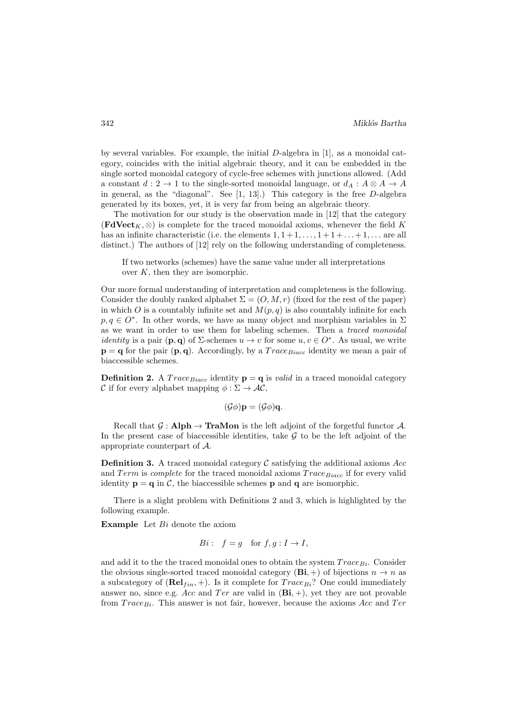by several variables. For example, the initial  $D$ -algebra in [1], as a monoidal category, coincides with the initial algebraic theory, and it can be embedded in the single sorted monoidal category of cycle-free schemes with junctions allowed. (Add a constant  $d: 2 \to 1$  to the single-sorted monoidal language, or  $d_A : A \otimes A \to A$ in general, as the "diagonal". See [1, 13].) This category is the free D-algebra generated by its boxes, yet, it is very far from being an algebraic theory.

The motivation for our study is the observation made in [12] that the category  $(\text{FdVect}_K, \otimes)$  is complete for the traced monoidal axioms, whenever the field K has an infinite characteristic (i.e. the elements  $1, 1+1, \ldots, 1+1+\ldots+1, \ldots$  are all distinct.) The authors of [12] rely on the following understanding of completeness.

If two networks (schemes) have the same value under all interpretations over  $K$ , then they are isomorphic.

Our more formal understanding of interpretation and completeness is the following. Consider the doubly ranked alphabet  $\Sigma = (O, M, r)$  (fixed for the rest of the paper) in which O is a countably infinite set and  $M(p,q)$  is also countably infinite for each  $p, q \in O^*$ . In other words, we have as many object and morphism variables in  $\Sigma$ as we want in order to use them for labeling schemes. Then a *traced monoidal identity* is a pair  $(\mathbf{p}, \mathbf{q})$  of  $\Sigma$ -schemes  $u \to v$  for some  $u, v \in O^*$ . As usual, we write  $\mathbf{p} = \mathbf{q}$  for the pair  $(\mathbf{p}, \mathbf{q})$ . Accordingly, by a  $Trace_{Biac}$  identity we mean a pair of biaccessible schemes.

**Definition 2.** A  $Trace_{Biacc}$  identity  $\mathbf{p} = \mathbf{q}$  is *valid* in a traced monoidal category C if for every alphabet mapping  $\phi : \Sigma \to AC$ .

$$
(\mathcal{G}\phi)\mathbf{p}=(\mathcal{G}\phi)\mathbf{q}.
$$

Recall that  $\mathcal{G}:$  Alph  $\rightarrow$  TraMon is the left adjoint of the forgetful functor A. In the present case of biaccessible identities, take  $G$  to be the left adjoint of the appropriate counterpart of A.

**Definition 3.** A traced monoidal category  $\mathcal{C}$  satisfying the additional axioms Acc and  $Term$  is *complete* for the traced monoidal axioms  $Trace_{Biacc}$  if for every valid identity  $\mathbf{p} = \mathbf{q}$  in C, the biaccessible schemes  $\mathbf{p}$  and  $\mathbf{q}$  are isomorphic.

There is a slight problem with Definitions 2 and 3, which is highlighted by the following example.

**Example** Let  $Bi$  denote the axiom

$$
Bi: f = g \text{ for } f, g: I \to I,
$$

and add it to the the traced monoidal ones to obtain the system  $Trace_{Bi}$ . Consider the obvious single-sorted traced monoidal category  $(\mathbf{Bi}, +)$  of bijections  $n \to n$  as a subcategory of  $(\text{Rel}_{fin}, +)$ . Is it complete for  $Trace_{Bi}$ ? One could immediately answer no, since e.g. Acc and Ter are valid in  $(\mathbf{Bi}, +)$ , yet they are not provable from  $Trace_{Bi}$ . This answer is not fair, however, because the axioms Acc and Ter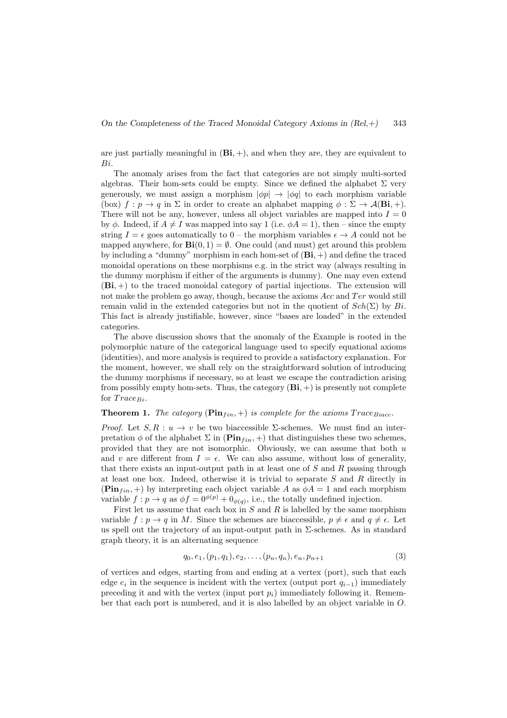are just partially meaningful in  $(\mathbf{Bi}, +)$ , and when they are, they are equivalent to Bi.

The anomaly arises from the fact that categories are not simply multi-sorted algebras. Their hom-sets could be empty. Since we defined the alphabet  $\Sigma$  very generously, we must assign a morphism  $|\phi p| \to |\phi q|$  to each morphism variable (box)  $f : p \to q$  in  $\Sigma$  in order to create an alphabet mapping  $\phi : \Sigma \to \mathcal{A}(\mathbf{Bi}, +)$ . There will not be any, however, unless all object variables are mapped into  $I = 0$ by  $\phi$ . Indeed, if  $A \neq I$  was mapped into say 1 (i.e.  $\phi A = 1$ ), then – since the empty string  $I = \epsilon$  goes automatically to  $0$  – the morphism variables  $\epsilon \to A$  could not be mapped anywhere, for  $\mathbf{Bi}(0, 1) = \emptyset$ . One could (and must) get around this problem by including a "dummy" morphism in each hom-set of  $(\mathbf{Bi}, +)$  and define the traced monoidal operations on these morphisms e.g. in the strict way (always resulting in the dummy morphism if either of the arguments is dummy). One may even extend  $(Bi,+)$  to the traced monoidal category of partial injections. The extension will not make the problem go away, though, because the axioms  $Acc$  and  $Ter$  would still remain valid in the extended categories but not in the quotient of  $Sch(\Sigma)$  by  $Bi$ . This fact is already justifiable, however, since "bases are loaded" in the extended categories.

The above discussion shows that the anomaly of the Example is rooted in the polymorphic nature of the categorical language used to specify equational axioms (identities), and more analysis is required to provide a satisfactory explanation. For the moment, however, we shall rely on the straightforward solution of introducing the dummy morphisms if necessary, so at least we escape the contradiction arising from possibly empty hom-sets. Thus, the category  $(Bi, +)$  is presently not complete for  $Trace_{Bi}$ .

#### **Theorem 1.** *The category* ( $\text{Pin}_{fin}, +$ ) *is complete for the axioms*  $Trace_{Biac}$ .

*Proof.* Let  $S, R : u \to v$  be two biaccessible  $\Sigma$ -schemes. We must find an interpretation  $\phi$  of the alphabet  $\Sigma$  in ( $\text{Pin}_{fin}, +$ ) that distinguishes these two schemes, provided that they are not isomorphic. Obviously, we can assume that both  $u$ and v are different from  $I = \epsilon$ . We can also assume, without loss of generality, that there exists an input-output path in at least one of  $S$  and  $R$  passing through at least one box. Indeed, otherwise it is trivial to separate  $S$  and  $R$  directly in  $(\mathbf{Pin}_{fin}, +)$  by interpreting each object variable A as  $\phi A = 1$  and each morphism variable  $f: p \to q$  as  $\phi f = 0^{\phi(p)} + 0_{\phi(q)}$ , i.e., the totally undefined injection.

First let us assume that each box in  $S$  and  $R$  is labelled by the same morphism variable  $f : p \to q$  in M. Since the schemes are biaccessible,  $p \neq \epsilon$  and  $q \neq \epsilon$ . Let us spell out the trajectory of an input-output path in  $\Sigma$ -schemes. As in standard graph theory, it is an alternating sequence

$$
q_0, e_1, (p_1, q_1), e_2, \dots, (p_n, q_n), e_n, p_{n+1}
$$
\n
$$
(3)
$$

of vertices and edges, starting from and ending at a vertex (port), such that each edge  $e_i$  in the sequence is incident with the vertex (output port  $q_{i-1}$ ) immediately preceding it and with the vertex (input port  $p_i$ ) immediately following it. Remember that each port is numbered, and it is also labelled by an object variable in O.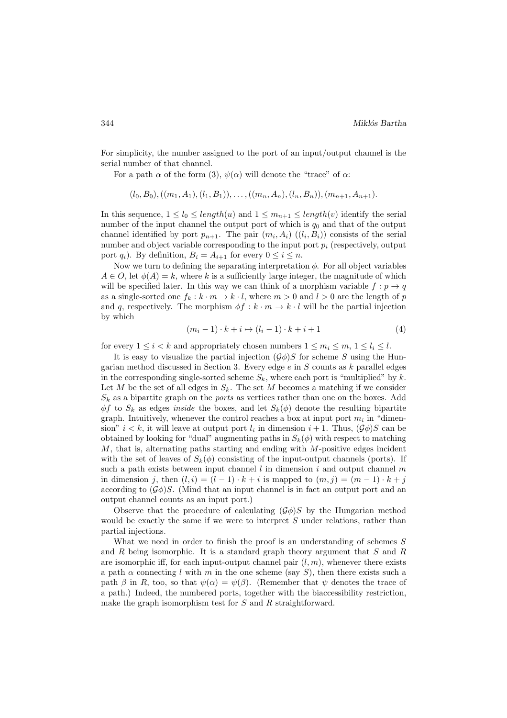For simplicity, the number assigned to the port of an input/output channel is the serial number of that channel.

For a path  $\alpha$  of the form (3),  $\psi(\alpha)$  will denote the "trace" of  $\alpha$ :

$$
(l_0, B_0), ((m_1, A_1), (l_1, B_1)), \ldots, ((m_n, A_n), (l_n, B_n)), (m_{n+1}, A_{n+1}).
$$

In this sequence,  $1 \leq l_0 \leq length(u)$  and  $1 \leq m_{n+1} \leq length(v)$  identify the serial number of the input channel the output port of which is  $q_0$  and that of the output channel identified by port  $p_{n+1}$ . The pair  $(m_i, A_i)$   $((l_i, B_i))$  consists of the serial number and object variable corresponding to the input port  $p_i$  (respectively, output port  $q_i$ ). By definition,  $B_i = A_{i+1}$  for every  $0 \le i \le n$ .

Now we turn to defining the separating interpretation  $\phi$ . For all object variables  $A \in O$ , let  $\phi(A) = k$ , where k is a sufficiently large integer, the magnitude of which will be specified later. In this way we can think of a morphism variable  $f : p \to q$ as a single-sorted one  $f_k : k \cdot m \to k \cdot l$ , where  $m > 0$  and  $l > 0$  are the length of p and q, respectively. The morphism  $\phi f : k \cdot m \to k \cdot l$  will be the partial injection by which

$$
(m_i - 1) \cdot k + i \mapsto (l_i - 1) \cdot k + i + 1 \tag{4}
$$

for every  $1 \leq i < k$  and appropriately chosen numbers  $1 \leq m_i \leq m, 1 \leq l_i \leq l$ .

It is easy to visualize the partial injection  $(\mathcal{G}\phi)S$  for scheme S using the Hungarian method discussed in Section 3. Every edge  $e$  in  $S$  counts as  $k$  parallel edges in the corresponding single-sorted scheme  $S_k$ , where each port is "multiplied" by k. Let M be the set of all edges in  $S_k$ . The set M becomes a matching if we consider  $S_k$  as a bipartite graph on the *ports* as vertices rather than one on the boxes. Add  $\phi f$  to  $S_k$  as edges *inside* the boxes, and let  $S_k(\phi)$  denote the resulting bipartite graph. Intuitively, whenever the control reaches a box at input port  $m_i$  in "dimension"  $i < k$ , it will leave at output port  $l_i$  in dimension  $i + 1$ . Thus,  $(\mathcal{G}\phi)S$  can be obtained by looking for "dual" augmenting paths in  $S_k(\phi)$  with respect to matching  $M$ , that is, alternating paths starting and ending with  $M$ -positive edges incident with the set of leaves of  $S_k(\phi)$  consisting of the input-output channels (ports). If such a path exists between input channel l in dimension i and output channel m in dimension j, then  $(l, i) = (l - 1) \cdot k + i$  is mapped to  $(m, j) = (m - 1) \cdot k + j$ according to  $(\mathcal{G}\phi)S$ . (Mind that an input channel is in fact an output port and an output channel counts as an input port.)

Observe that the procedure of calculating  $(\mathcal{G}\phi)S$  by the Hungarian method would be exactly the same if we were to interpret  $S$  under relations, rather than partial injections.

What we need in order to finish the proof is an understanding of schemes  $S$ and R being isomorphic. It is a standard graph theory argument that  $S$  and  $R$ are isomorphic iff, for each input-output channel pair  $(l, m)$ , whenever there exists a path  $\alpha$  connecting l with m in the one scheme (say S), then there exists such a path  $\beta$  in R, too, so that  $\psi(\alpha) = \psi(\beta)$ . (Remember that  $\psi$  denotes the trace of a path.) Indeed, the numbered ports, together with the biaccessibility restriction, make the graph isomorphism test for S and R straightforward.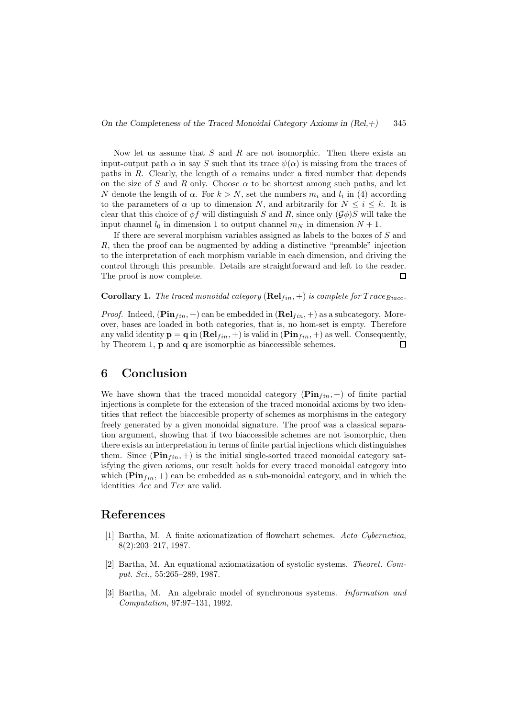Now let us assume that  $S$  and  $R$  are not isomorphic. Then there exists an input-output path  $\alpha$  in say S such that its trace  $\psi(\alpha)$  is missing from the traces of paths in R. Clearly, the length of  $\alpha$  remains under a fixed number that depends on the size of S and R only. Choose  $\alpha$  to be shortest among such paths, and let N denote the length of  $\alpha$ . For  $k > N$ , set the numbers  $m_i$  and  $l_i$  in (4) according to the parameters of  $\alpha$  up to dimension N, and arbitrarily for  $N \leq i \leq k$ . It is clear that this choice of  $\phi f$  will distinguish S and R, since only  $(\mathcal{G}\phi)S$  will take the input channel  $l_0$  in dimension 1 to output channel  $m_N$  in dimension  $N + 1$ .

If there are several morphism variables assigned as labels to the boxes of S and R, then the proof can be augmented by adding a distinctive "preamble" injection to the interpretation of each morphism variable in each dimension, and driving the control through this preamble. Details are straightforward and left to the reader. The proof is now complete.  $\Box$ 

**Corollary 1.** The traced monoidal category (**Rel**<sub>tin</sub>, +) is complete for  $Trace_{Biacc}$ .

*Proof.* Indeed,  $(\mathbf{Pin}_{fin}, +)$  can be embedded in  $(\mathbf{Rel}_{fin}, +)$  as a subcategory. Moreover, bases are loaded in both categories, that is, no hom-set is empty. Therefore any valid identity  $\mathbf{p} = \mathbf{q}$  in  $(\mathbf{Rel}_{fin}, +)$  is valid in  $(\mathbf{Pin}_{fin}, +)$  as well. Consequently, by Theorem 1, p and q are isomorphic as biaccessible schemes.  $\Box$ 

# 6 Conclusion

We have shown that the traced monoidal category  $(\mathbf{Pin}_{fin}, +)$  of finite partial injections is complete for the extension of the traced monoidal axioms by two identities that reflect the biaccesible property of schemes as morphisms in the category freely generated by a given monoidal signature. The proof was a classical separation argument, showing that if two biaccessible schemes are not isomorphic, then there exists an interpretation in terms of finite partial injections which distinguishes them. Since  $(\mathbf{Pin}_{fin}, +)$  is the initial single-sorted traced monoidal category satisfying the given axioms, our result holds for every traced monoidal category into which ( $\text{Pin}_{fin}$ , +) can be embedded as a sub-monoidal category, and in which the identities  $Acc$  and  $Ter$  are valid.

### References

- [1] Bartha, M. A finite axiomatization of flowchart schemes. *Acta Cybernetica*, 8(2):203–217, 1987.
- [2] Bartha, M. An equational axiomatization of systolic systems. *Theoret. Comput. Sci.*, 55:265–289, 1987.
- [3] Bartha, M. An algebraic model of synchronous systems. *Information and Computation*, 97:97–131, 1992.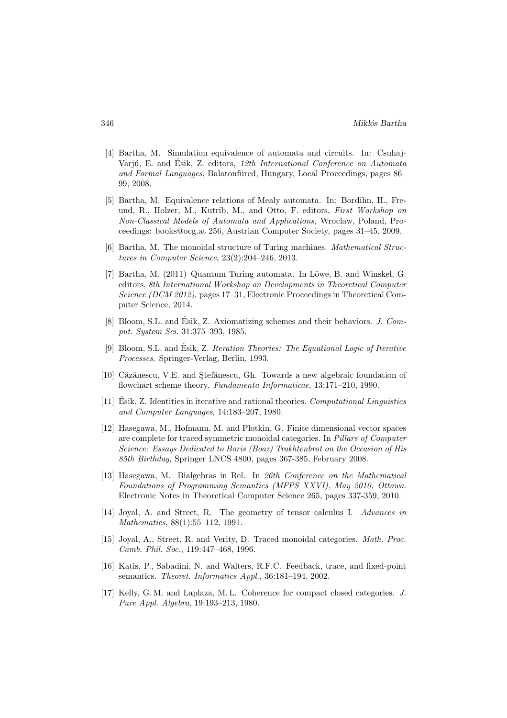- [4] Bartha, M. Simulation equivalence of automata and circuits. In: Csuhaj-Varjú, E. and Ésik, Z. editors, 12th International Conference on Automata *and Formal Languages*, Balatonfüred, Hungary, Local Proceedings, pages 86– 99, 2008.
- [5] Bartha, M. Equivalence relations of Mealy automata. In: Bordihn, H., Freund, R., Holzer, M., Kutrib, M., and Otto, F. editors, *First Workshop on Non-Classical Models of Automata and Applications*, Wroclaw, Poland, Proceedings: books@ocg.at 256, Austrian Computer Society, pages 31–45, 2009.
- [6] Bartha, M. The monoidal structure of Turing machines. *Mathematical Structures in Computer Science*, 23(2):204–246, 2013.
- [7] Bartha, M. (2011) Quantum Turing automata. In Löwe, B. and Winskel, G. editors, *8th International Workshop on Developments in Theoretical Computer Science (DCM 2012)*, pages 17–31, Electronic Proceedings in Theoretical Computer Science, 2014.
- [8] Bloom, S.L. and Ésik, Z. Axiomatizing schemes and their behaviors. *J. Comput. System Sci.* 31:375–393, 1985.
- [9] Bloom, S.L. and Ésik, Z. *Iteration Theories: The Equational Logic of Iterative Processes*. Springer-Verlag, Berlin, 1993.
- [10] Căzănescu, V.E. and Ştefănescu, Gh. Towards a new algebraic foundation of flowchart scheme theory. *Fundamenta Informaticae*, 13:171–210, 1990.
- [11] Esik, Z. Identities in iterative and rational theories. ´ *Computational Linguistics and Computer Languages*, 14:183–207, 1980.
- [12] Hasegawa, M., Hofmann, M. and Plotkin, G. Finite dimensional vector spaces are complete for traced symmetric monoidal categories. In *Pillars of Computer Science: Essays Dedicated to Boris (Boaz) Trakhtenbrot on the Occasion of His 85th Birthday*, Springer LNCS 4800, pages 367-385, February 2008.
- [13] Hasegawa, M. Bialgebras in Rel. In *26th Conference on the Mathematical Foundations of Programming Semantics (MFPS XXVI), May 2010, Ottawa*. Electronic Notes in Theoretical Computer Science 265, pages 337-359, 2010.
- [14] Joyal, A. and Street, R. The geometry of tensor calculus I. *Advances in Mathematics*, 88(1):55–112, 1991.
- [15] Joyal, A., Street, R. and Verity, D. Traced monoidal categories. *Math. Proc. Camb. Phil. Soc.*, 119:447–468, 1996.
- [16] Katis, P., Sabadini, N. and Walters, R.F.C. Feedback, trace, and fixed-point semantics. *Theoret. Informatics Appl.*, 36:181–194, 2002.
- [17] Kelly, G. M. and Laplaza, M. L. Coherence for compact closed categories. *J. Pure Appl. Algebra*, 19:193–213, 1980.